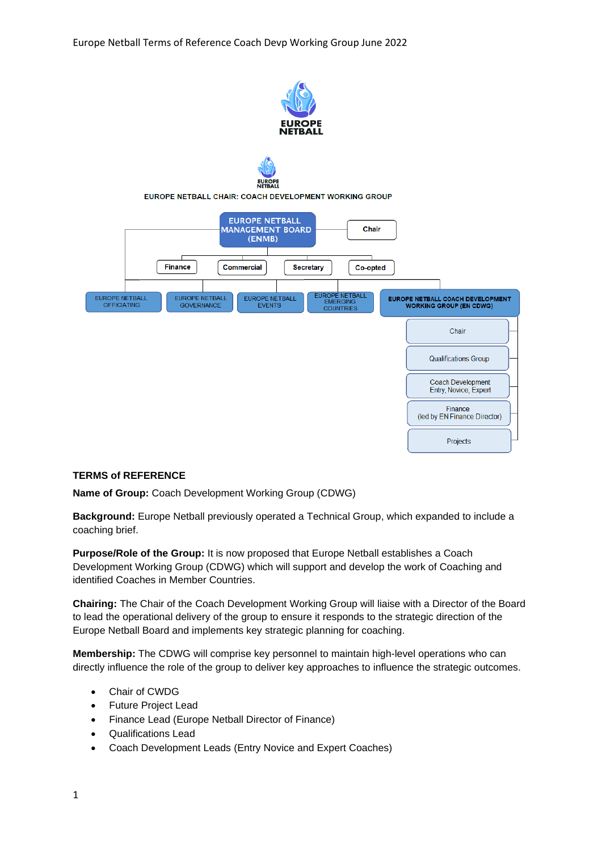Europe Netball Terms of Reference Coach Devp Working Group June 2022





EUROPE NETBALL CHAIR: COACH DEVELOPMENT WORKING GROUP



## **TERMS of REFERENCE**

**Name of Group:** Coach Development Working Group (CDWG)

**Background:** Europe Netball previously operated a Technical Group, which expanded to include a coaching brief.

**Purpose/Role of the Group:** It is now proposed that Europe Netball establishes a Coach Development Working Group (CDWG) which will support and develop the work of Coaching and identified Coaches in Member Countries.

**Chairing:** The Chair of the Coach Development Working Group will liaise with a Director of the Board to lead the operational delivery of the group to ensure it responds to the strategic direction of the Europe Netball Board and implements key strategic planning for coaching.

**Membership:** The CDWG will comprise key personnel to maintain high-level operations who can directly influence the role of the group to deliver key approaches to influence the strategic outcomes.

- Chair of CWDG
- Future Project Lead
- Finance Lead (Europe Netball Director of Finance)
- Qualifications Lead
- Coach Development Leads (Entry Novice and Expert Coaches)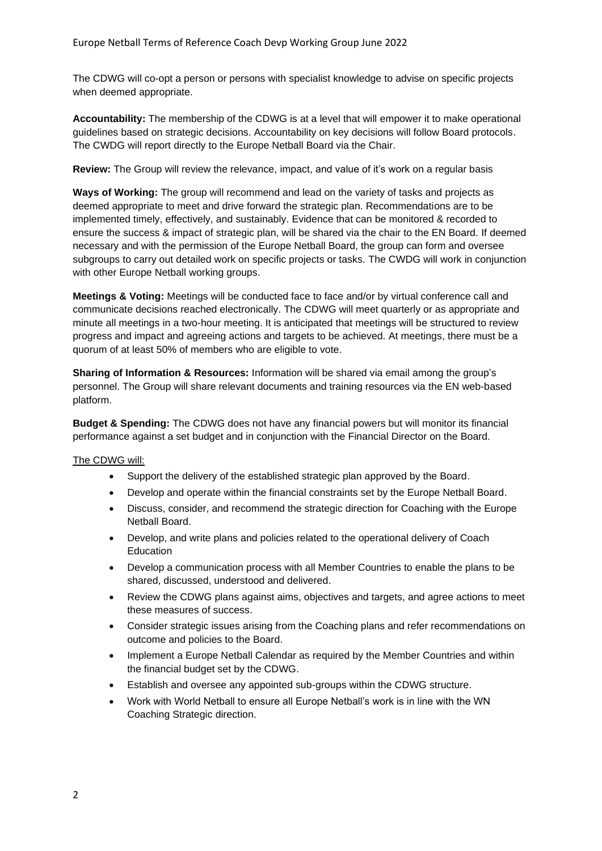The CDWG will co-opt a person or persons with specialist knowledge to advise on specific projects when deemed appropriate.

**Accountability:** The membership of the CDWG is at a level that will empower it to make operational guidelines based on strategic decisions. Accountability on key decisions will follow Board protocols. The CWDG will report directly to the Europe Netball Board via the Chair.

**Review:** The Group will review the relevance, impact, and value of it's work on a regular basis

**Ways of Working:** The group will recommend and lead on the variety of tasks and projects as deemed appropriate to meet and drive forward the strategic plan. Recommendations are to be implemented timely, effectively, and sustainably. Evidence that can be monitored & recorded to ensure the success & impact of strategic plan, will be shared via the chair to the EN Board. If deemed necessary and with the permission of the Europe Netball Board, the group can form and oversee subgroups to carry out detailed work on specific projects or tasks. The CWDG will work in conjunction with other Europe Netball working groups.

**Meetings & Voting:** Meetings will be conducted face to face and/or by virtual conference call and communicate decisions reached electronically. The CDWG will meet quarterly or as appropriate and minute all meetings in a two-hour meeting. It is anticipated that meetings will be structured to review progress and impact and agreeing actions and targets to be achieved. At meetings, there must be a quorum of at least 50% of members who are eligible to vote.

**Sharing of Information & Resources:** Information will be shared via email among the group's personnel. The Group will share relevant documents and training resources via the EN web-based platform.

**Budget & Spending:** The CDWG does not have any financial powers but will monitor its financial performance against a set budget and in conjunction with the Financial Director on the Board.

## The CDWG will:

- Support the delivery of the established strategic plan approved by the Board.
- Develop and operate within the financial constraints set by the Europe Netball Board.
- Discuss, consider, and recommend the strategic direction for Coaching with the Europe Netball Board.
- Develop, and write plans and policies related to the operational delivery of Coach Education
- Develop a communication process with all Member Countries to enable the plans to be shared, discussed, understood and delivered.
- Review the CDWG plans against aims, objectives and targets, and agree actions to meet these measures of success.
- Consider strategic issues arising from the Coaching plans and refer recommendations on outcome and policies to the Board.
- Implement a Europe Netball Calendar as required by the Member Countries and within the financial budget set by the CDWG.
- Establish and oversee any appointed sub-groups within the CDWG structure.
- Work with World Netball to ensure all Europe Netball's work is in line with the WN Coaching Strategic direction.